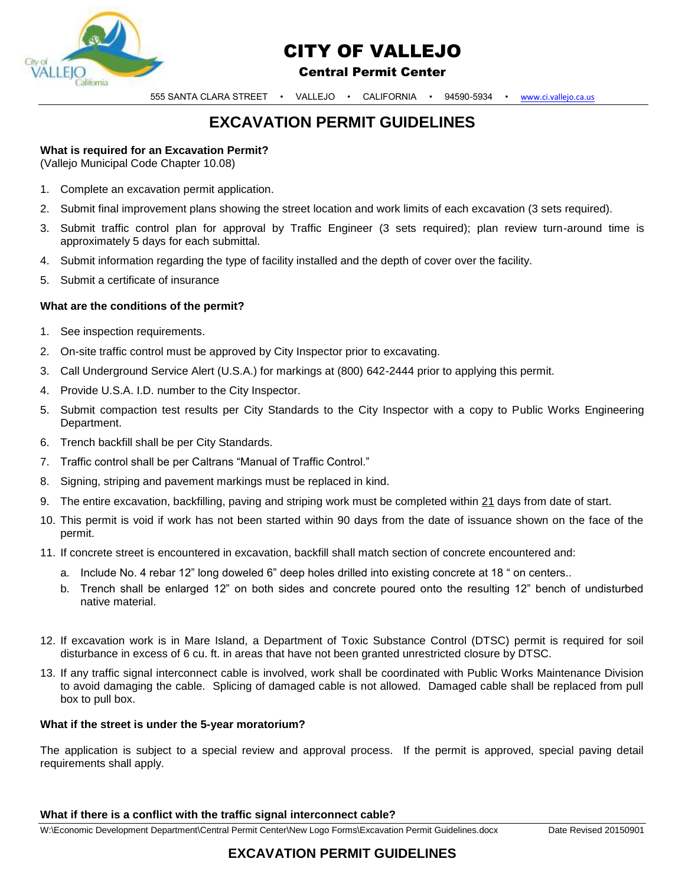

# CITY OF VALLEJO

### Central Permit Center

555 SANTA CLARA STREET • VALLEJO • CALIFORNIA • 94590-5934 • [www.ci.vallejo.ca.us](http://www.ci.vallejo.ca.us/)

# **EXCAVATION PERMIT GUIDELINES**

# **What is required for an Excavation Permit?**

(Vallejo Municipal Code Chapter 10.08)

- 1. Complete an excavation permit application.
- 2. Submit final improvement plans showing the street location and work limits of each excavation (3 sets required).
- 3. Submit traffic control plan for approval by Traffic Engineer (3 sets required); plan review turn-around time is approximately 5 days for each submittal.
- 4. Submit information regarding the type of facility installed and the depth of cover over the facility.
- 5. Submit a certificate of insurance

#### **What are the conditions of the permit?**

- 1. See inspection requirements.
- 2. On-site traffic control must be approved by City Inspector prior to excavating.
- 3. Call Underground Service Alert (U.S.A.) for markings at (800) 642-2444 prior to applying this permit.
- 4. Provide U.S.A. I.D. number to the City Inspector.
- 5. Submit compaction test results per City Standards to the City Inspector with a copy to Public Works Engineering Department.
- 6. Trench backfill shall be per City Standards.
- 7. Traffic control shall be per Caltrans "Manual of Traffic Control."
- 8. Signing, striping and pavement markings must be replaced in kind.
- 9. The entire excavation, backfilling, paving and striping work must be completed within 21 days from date of start.
- 10. This permit is void if work has not been started within 90 days from the date of issuance shown on the face of the permit.
- 11. If concrete street is encountered in excavation, backfill shall match section of concrete encountered and:
	- a. Include No. 4 rebar 12" long doweled 6" deep holes drilled into existing concrete at 18 " on centers..
	- b. Trench shall be enlarged 12" on both sides and concrete poured onto the resulting 12" bench of undisturbed native material.
- 12. If excavation work is in Mare Island, a Department of Toxic Substance Control (DTSC) permit is required for soil disturbance in excess of 6 cu. ft. in areas that have not been granted unrestricted closure by DTSC.
- 13. If any traffic signal interconnect cable is involved, work shall be coordinated with Public Works Maintenance Division to avoid damaging the cable. Splicing of damaged cable is not allowed. Damaged cable shall be replaced from pull box to pull box.

#### **What if the street is under the 5-year moratorium?**

The application is subject to a special review and approval process. If the permit is approved, special paving detail requirements shall apply.

#### **What if there is a conflict with the traffic signal interconnect cable?**

W:\Economic Development Department\Central Permit Center\New Logo Forms\Excavation Permit Guidelines.docx Date Revised 20150901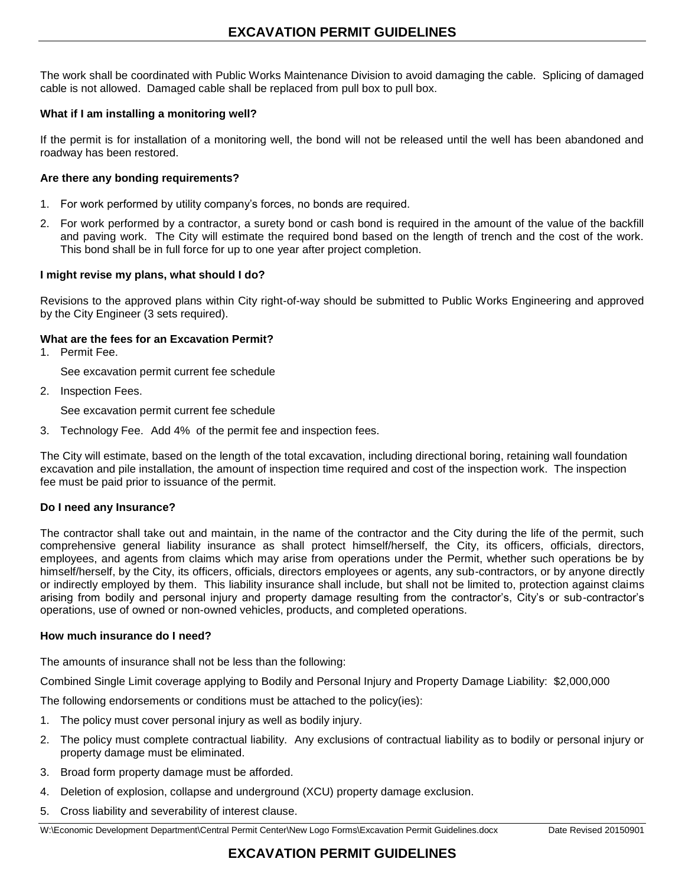The work shall be coordinated with Public Works Maintenance Division to avoid damaging the cable. Splicing of damaged cable is not allowed. Damaged cable shall be replaced from pull box to pull box.

#### **What if I am installing a monitoring well?**

If the permit is for installation of a monitoring well, the bond will not be released until the well has been abandoned and roadway has been restored.

#### **Are there any bonding requirements?**

- 1. For work performed by utility company's forces, no bonds are required.
- 2. For work performed by a contractor, a surety bond or cash bond is required in the amount of the value of the backfill and paving work. The City will estimate the required bond based on the length of trench and the cost of the work. This bond shall be in full force for up to one year after project completion.

#### **I might revise my plans, what should I do?**

Revisions to the approved plans within City right-of-way should be submitted to Public Works Engineering and approved by the City Engineer (3 sets required).

#### **What are the fees for an Excavation Permit?**

1. Permit Fee.

See excavation permit current fee schedule

2. Inspection Fees.

See excavation permit current fee schedule

3. Technology Fee. Add 4% of the permit fee and inspection fees.

The City will estimate, based on the length of the total excavation, including directional boring, retaining wall foundation excavation and pile installation, the amount of inspection time required and cost of the inspection work. The inspection fee must be paid prior to issuance of the permit.

#### **Do I need any Insurance?**

The contractor shall take out and maintain, in the name of the contractor and the City during the life of the permit, such comprehensive general liability insurance as shall protect himself/herself, the City, its officers, officials, directors, employees, and agents from claims which may arise from operations under the Permit, whether such operations be by himself/herself, by the City, its officers, officials, directors employees or agents, any sub-contractors, or by anyone directly or indirectly employed by them. This liability insurance shall include, but shall not be limited to, protection against claims arising from bodily and personal injury and property damage resulting from the contractor's, City's or sub-contractor's operations, use of owned or non-owned vehicles, products, and completed operations.

#### **How much insurance do I need?**

The amounts of insurance shall not be less than the following:

Combined Single Limit coverage applying to Bodily and Personal Injury and Property Damage Liability: \$2,000,000

The following endorsements or conditions must be attached to the policy(ies):

- 1. The policy must cover personal injury as well as bodily injury.
- 2. The policy must complete contractual liability. Any exclusions of contractual liability as to bodily or personal injury or property damage must be eliminated.
- 3. Broad form property damage must be afforded.
- 4. Deletion of explosion, collapse and underground (XCU) property damage exclusion.
- 5. Cross liability and severability of interest clause.

W:\Economic Development Department\Central Permit Center\New Logo Forms\Excavation Permit Guidelines.docx Date Revised 20150901